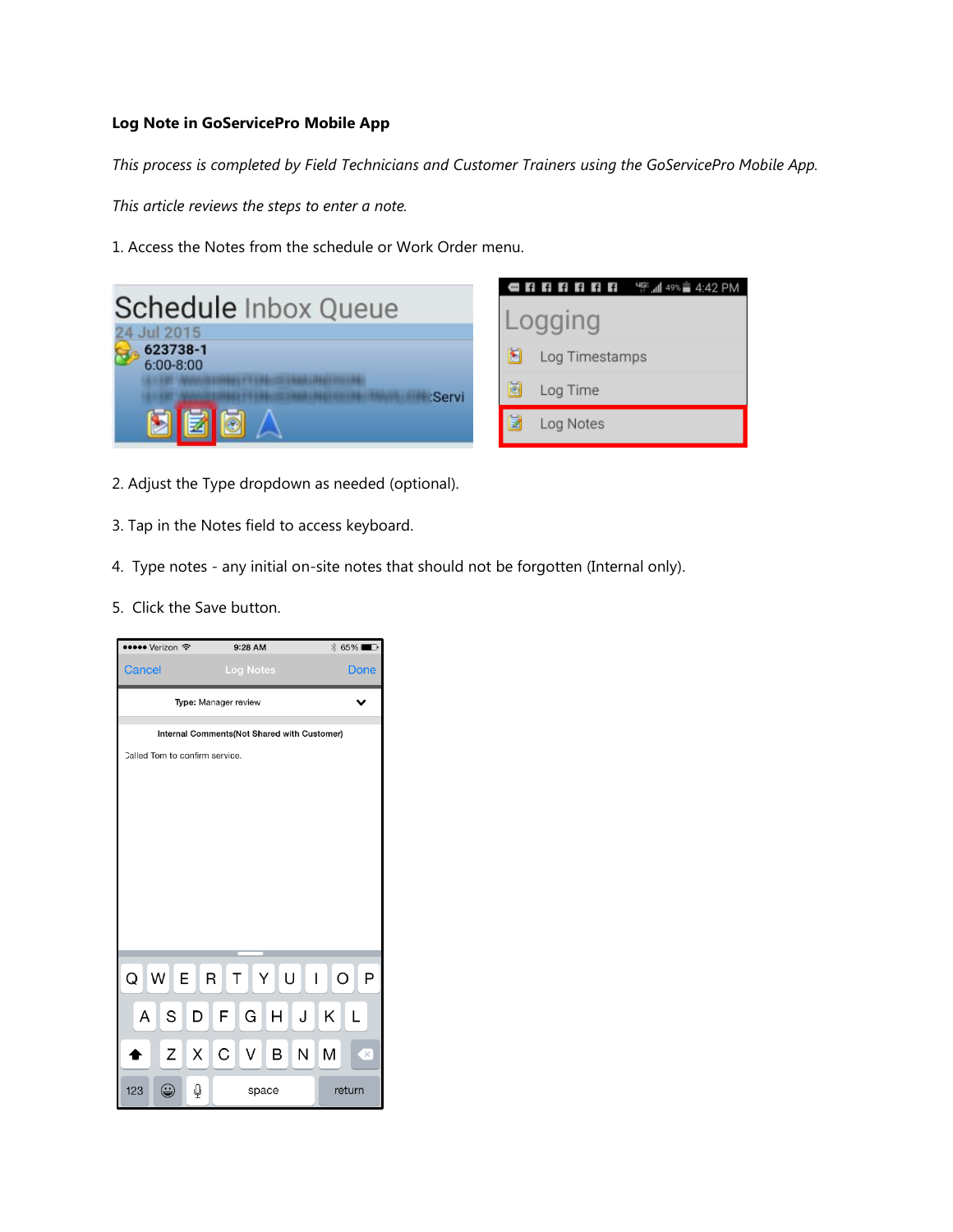## **Log Note in GoServicePro Mobile App**

*This process is completed by Field Technicians and Customer Trainers using the GoServicePro Mobile App.* 

*This article reviews the steps to enter a note.* 

1. Access the Notes from the schedule or Work Order menu.

|                                     | <b>ORRATERS TELL</b> |
|-------------------------------------|----------------------|
| Schedule Inbox Queue                | Logging              |
| 24 Jul 2015                         |                      |
| 623738-1<br>$6:00 - 8:00$<br>:Servi | Log Timestamps       |
|                                     | Log Time             |
|                                     | Log Notes            |

- 2. Adjust the Type dropdown as needed (optional).
- 3. Tap in the Notes field to access keyboard.
- 4. Type notes any initial on-site notes that should not be forgotten (Internal only).
- 5. Click the Save button.